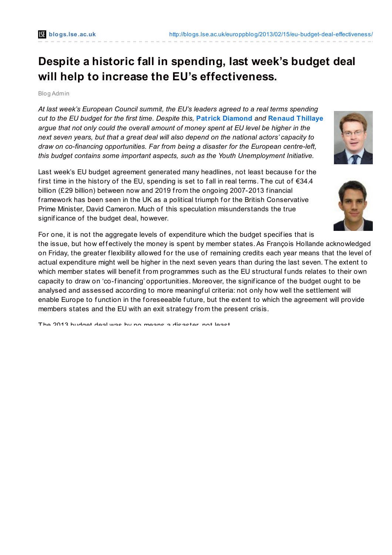# **Despite a historic fall in spending, last week's budget deal will help to increase the EU's effectiveness.**

#### Blog Admin

*At last week's European Council summit, the EU's leaders agreed to a real terms spending cut to the EU budget for the first time. Despite this,* **Patrick [Diamond](http://wp.me/p2MmSR-32x#Author)** *and* **Renaud [Thillaye](http://wp.me/p2MmSR-32x#Author)** *argue that not only could the overall amount of money spent at EU level be higher in the next seven years, but that a great deal will also depend on the national actors' capacity to draw on co-financing opportunities. Far from being a disaster for the European centre-left, this budget contains some important aspects, such as the Youth Unemployment Initiative.*

Last week's EU budget agreement generated many headlines, not least because for the first time in the history of the EU, spending is set to fall in real terms. The cut of  $\epsilon$ 34.4 billion (£29 billion) between now and 2019 from the ongoing 2007-2013 financial framework has been seen in the UK as a political triumph for the British Conservative Prime Minister, David Cameron. Much of this speculation misunderstands the true signif icance of the budget deal, however.

For one, it is not the aggregate levels of expenditure which the budget specifies that is the issue, but how effectively the money is spent by member states. As Francois Hollande acknowledged on Friday, the greater flexibility allowed for the use of remaining credits each year means that the level of actual expenditure might well be higher in the next seven years than during the last seven. The extent to which member states will benefit from programmes such as the EU structural funds relates to their own capacity to draw on 'co-f inancing' opportunities. Moreover, the signif icance of the budget ought to be analysed and assessed according to more meaningful criteria: not only how well the settlement will enable Europe to function in the foreseeable future, but the extent to which the agreement will provide members states and the EU with an exit strategy from the present crisis.

The 2013 budget deal was by no means a disaster, not least



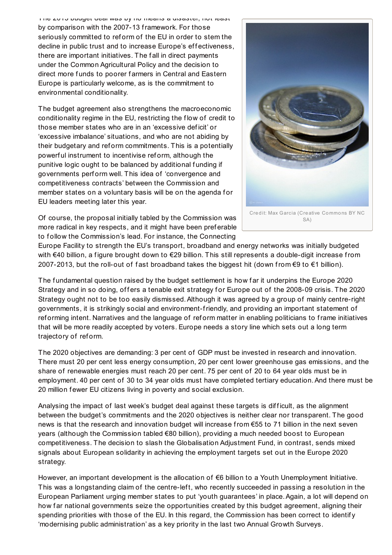The 2013 budget deal was by no means a disaster, not least by comparison with the 2007-13 framework. For those seriously committed to ref orm of the EU in order to stem the decline in public trust and to increase Europe's effectiveness, there are important initiatives. The f all in direct payments under the Common Agricultural Policy and the decision to direct more funds to poorer farmers in Central and Eastern Europe is particularly welcome, as is the commitment to environmental conditionality.

The budget agreement also strengthens the macroeconomic conditionality regime in the EU, restricting the f low of credit to those member states who are in an 'excessive def icit' or 'excessive imbalance' situations, and who are not abiding by their budgetary and ref orm commitments. This is a potentially powerf ul instrument to incentivise ref orm, although the punitive logic ought to be balanced by additional funding if governments perf orm well. This idea of 'convergence and competitiveness contracts' between the Commission and member states on a voluntary basis will be on the agenda for EU leaders meeting later this year.



Of course, the proposal initially tabled by the Commission was more radical in key respects, and it might have been preferable to follow the Commission's lead. For instance, the Connecting

SA)

Europe Facility to strength the EU's transport, broadband and energy networks was initially budgeted with €40 billion, a f igure brought down to €29 billion. This still represents a double-digit increase from 2007-2013, but the roll-out of f ast broadband takes the biggest hit (down from €9 to €1 billion).

The fundamental question raised by the budget settlement is how far it underpins the Europe 2020 Strategy and in so doing, offers a tenable exit strategy for Europe out of the 2008-09 crisis. The 2020 Strategy ought not to be too easily dismissed.Although it was agreed by a group of mainly centre-right governments, it is strikingly social and environment-friendly, and providing an important statement of ref orming intent. Narratives and the language of ref orm matter in enabling politicians to frame initiatives that will be more readily accepted by voters. Europe needs a story line which sets out a long term trajectory of ref orm.

The 2020 objectives are demanding: 3 per cent of GDP must be invested in research and innovation. There must 20 per cent less energy consumption, 20 per cent lower greenhouse gas emissions, and the share of renewable energies must reach 20 per cent. 75 per cent of 20 to 64 year olds must be in employment. 40 per cent of 30 to 34 year olds must have completed tertiary education.And there must be 20 million fewer EU citizens living in poverty and social exclusion.

Analysing the impact of last week's budget deal against these targets is difficult, as the alignment between the budget's commitments and the 2020 objectives is neither clear nor transparent. The good news is that the research and innovation budget will increase from €55 to 71 billion in the next seven years (although the Commission tabled €80 billion), providing a much needed boost to European competitiveness. The decision to slash the Globalisation Adjustment Fund, in contrast, sends mixed signals about European solidarity in achieving the employment targets set out in the Europe 2020 strategy.

However, an important development is the allocation of €6 billion to a Youth Unemployment Initiative. This was a longstanding claim of the centre-left, who recently succeeded in passing a resolution in the European Parliament urging member states to put 'youth guarantees' in place.Again, a lot will depend on how far national governments seize the opportunities created by this budget agreement, aligning their spending priorities with those of the EU. In this regard, the Commission has been correct to identify 'modernising public administration' as a key priority in the last two Annual Growth Surveys.